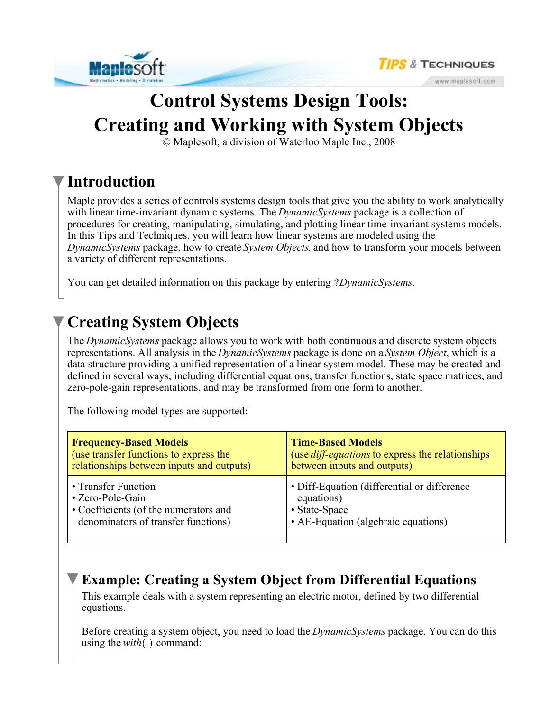



www.maplesoft.com

# **Control Systems Design Tools: Creating and Working with System Objects**

© Maplesoft, a division of Waterloo Maple Inc., 2008

### **Introduction**

Maple provides a series of controls systems design tools that give you the ability to work analytically with linear time-invariant dynamic systems. The *DynamicSystems* package is a collection of procedures for creating, manipulating, simulating, and plotting linear time-invariant systems models. In this Tips and Techniques, you will learn how linear systems are modeled using the *DynamicSystems* package, how to create *System Objects*, and how to transform your models between a variety of different representations.

You can get detailed information on this package by entering ?*DynamicSystems*.

# **Creating System Objects**

The *DynamicSystems* package allows you to work with both continuous and discrete system objects representations. All analysis in the *DynamicSystems* package is done on a *System Object*, which is a data structure providing a unified representation of a linear system model. These may be created and defined in several ways, including differential equations, transfer functions, state space matrices, and zero-pole-gain representations, and may be transformed from one form to another.

The following model types are supported:

| <b>Frequency-Based Models</b>             | <b>Time-Based Models</b>                                |
|-------------------------------------------|---------------------------------------------------------|
| (use transfer functions to express the    | (use <i>diff-equations</i> to express the relationships |
| relationships between inputs and outputs) | between inputs and outputs)                             |
| • Transfer Function                       | • Diff-Equation (differential or difference             |
| • Zero-Pole-Gain                          | equations)                                              |
| • Coefficients (of the numerators and     | • State-Space                                           |
| denominators of transfer functions)       | • AE-Equation (algebraic equations)                     |

### **Example: Creating a System Object from Differential Equations**

This example deals with a system representing an electric motor, defined by two differential equations.

Before creating a system object, you need to load the *DynamicSystems* package. You can do this using the  $with$  command: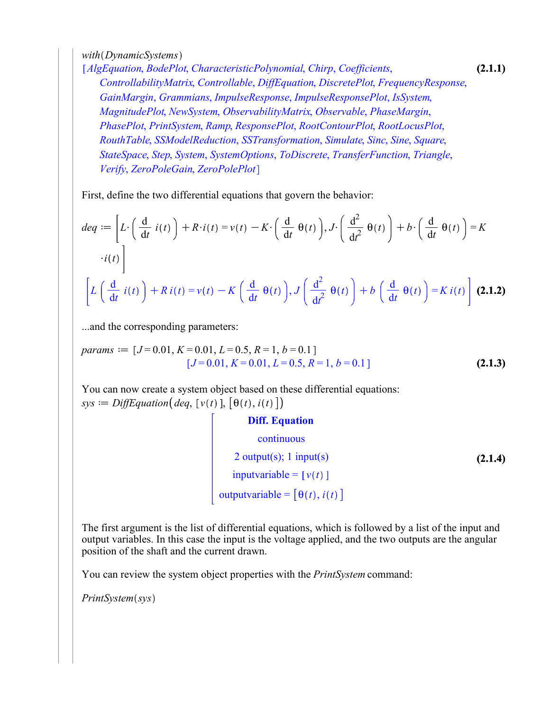*with DynamicSystems*

**(2.1.1)** *AlgEquation*, *BodePlot*, *CharacteristicPolynomial*, *Chirp*, *Coefficients*, *ControllabilityMatrix*, *Controllable*, *DiffEquation*, *DiscretePlot*, *FrequencyResponse*, *GainMargin*, *Grammians*, *ImpulseResponse*, *ImpulseResponsePlot*, *IsSystem*, *MagnitudePlot*, *NewSystem*, *ObservabilityMatrix*, *Observable*, *PhaseMargin*, *PhasePlot*, *PrintSystem*, *Ramp*, *ResponsePlot*, *RootContourPlot*, *RootLocusPlot*, *RouthTable*, *SSModelReduction*, *SSTransformation*, *Simulate*, *Sinc*, *Sine*, *Square*, *StateSpace*, *Step*, *System*, *SystemOptions*, *ToDiscrete*, *TransferFunction*, *Triangle*, *Verify*, *ZeroPoleGain*, *ZeroPolePlot*

First, define the two differential equations that govern the behavior:

$$
deq := \left[ L \cdot \left( \frac{d}{dt} i(t) \right) + R \cdot i(t) = v(t) - K \cdot \left( \frac{d}{dt} \theta(t) \right), J \cdot \left( \frac{d^2}{dt^2} \theta(t) \right) + b \cdot \left( \frac{d}{dt} \theta(t) \right) = K
$$
  
 
$$
\cdot i(t) \right]
$$
  

$$
\left[ L \left( \frac{d}{dt} i(t) \right) + R i(t) = v(t) - K \left( \frac{d}{dt} \theta(t) \right), J \left( \frac{d^2}{dt^2} \theta(t) \right) + b \left( \frac{d}{dt} \theta(t) \right) = K i(t) \right]
$$
**(2.1.2)**

...and the corresponding parameters:

$$
params := [J = 0.01, K = 0.01, L = 0.5, R = 1, b = 0.1]
$$
  
[ $J = 0.01, K = 0.01, L = 0.5, R = 1, b = 0.1$ ] (2.1.3)

You can now create a system object based on these differential equations:  $sys := DiffEquation (deg, [v(t)], [\theta(t), i(t)])$ 

**Diff. Equation**  
continuous  
2 output(s); 1 input(s)  
inputvariable = 
$$
[v(t)]
$$
  
outputvariable =  $[\theta(t), i(t)]$ 

The first argument is the list of differential equations, which is followed by a list of the input and output variables. In this case the input is the voltage applied, and the two outputs are the angular position of the shaft and the current drawn.

You can review the system object properties with the *PrintSystem* command:

 $PrintSystem(sys)$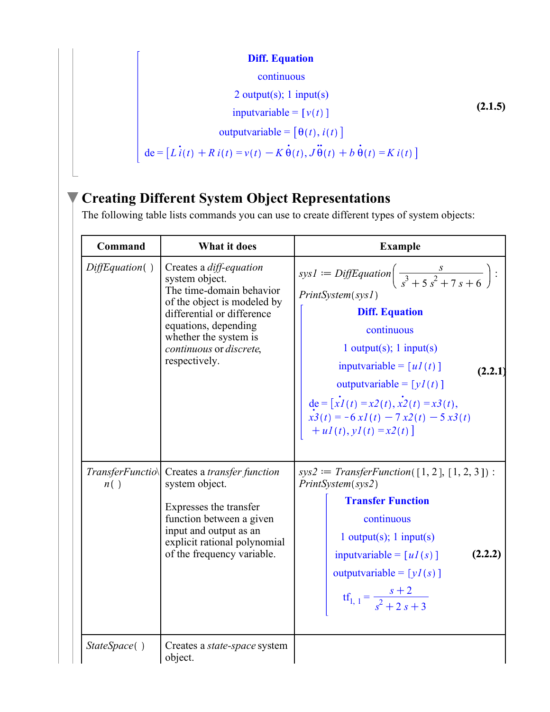#### **Diff. Equation**

**Diff. Equation**  
continuous  
2 output(s); 1 input(s)  
inputvariable = 
$$
[v(t)]
$$
  
outputvariable =  $[\theta(t), i(t)]$   
de =  $[L i(t) + R i(t) = v(t) - K \dot{\theta}(t), J \ddot{\theta}(t) + b \dot{\theta}(t) = K i(t)]$  (2.1.5)

# **Creating Different System Object Representations**

The following table lists commands you can use to create different types of system objects:

| <b>Command</b>           | <b>What it does</b>                                                                                                                                                                                                             | <b>Example</b>                                                                                                                                                                                                                                                                                                                                                     |
|--------------------------|---------------------------------------------------------------------------------------------------------------------------------------------------------------------------------------------------------------------------------|--------------------------------------------------------------------------------------------------------------------------------------------------------------------------------------------------------------------------------------------------------------------------------------------------------------------------------------------------------------------|
| DiffEquation( )          | Creates a diff-equation<br>system object.<br>The time-domain behavior<br>of the object is modeled by<br>differential or difference<br>equations, depending<br>whether the system is<br>continuous or discrete,<br>respectively. | sys1 = DiffEquation $\left(\frac{s}{s^3+5s^2+7s+6}\right)$ :<br>PrintSystem(sys1)<br><b>Diff. Equation</b><br>continuous<br>1 output(s); $1$ input(s)<br>inputvariable = $[uI(t)]$<br>(2.2.1)<br>outputvariable = $[yl(t)]$<br>de = $\begin{bmatrix} xI(t) = x2(t), x2(t) = x3(t), \\ x3(t) = -6xI(t) - 7x2(t) - 5x3(t) \end{bmatrix}$<br>$+ uI(t), yI(t) = x2(t)$ |
| TransferFunctio\<br>n( ) | Creates a <i>transfer function</i><br>system object.<br>Expresses the transfer<br>function between a given<br>input and output as an<br>explicit rational polynomial<br>of the frequency variable.                              | $sys2 := TransferFunction([1, 2], [1, 2, 3])$ :<br>PrintSystem(sys2)<br><b>Transfer Function</b><br>continuous<br>$1$ output(s); $1$ input(s)<br>(2.2.2)<br>inputvariable = $\lceil uI(s) \rceil$<br>outputvariable = $[yI(s)]$<br>$\text{tf}_{1, 1} = \frac{s+2}{s^2+2s+3}$                                                                                       |
| StateSpace()             | Creates a <i>state-space</i> system<br>object.                                                                                                                                                                                  |                                                                                                                                                                                                                                                                                                                                                                    |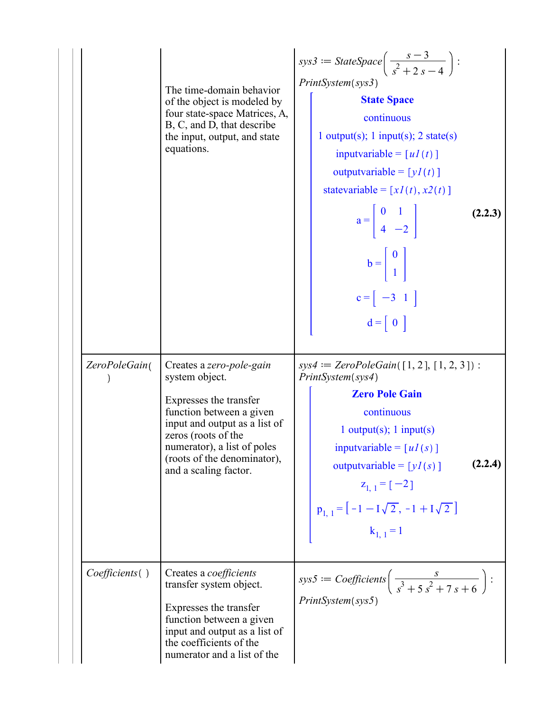|                | The time-domain behavior<br>of the object is modeled by<br>four state-space Matrices, A,<br>B, C, and D, that describe<br>the input, output, and state<br>equations.                                                                            | sys $3 := \text{StateSpace}\left(\frac{s-3}{s^2+2s-4}\right)$ :<br>PrintSystem(sys3)<br><b>State Space</b><br>continuous<br>1 output(s); 1 input(s); 2 state(s)<br>inputvariable = $[uI(t)]$<br>outputvariable = $[yI(t)]$<br>statevariable = $[xl(t), x2(t)]$<br>$a = \begin{bmatrix} 0 & 1 \\ 4 & -2 \end{bmatrix}$<br>(2.2.3)<br>$b = \begin{bmatrix} 0 \\ 1 \end{bmatrix}$<br>$c = \begin{bmatrix} -3 & 1 \end{bmatrix}$<br>$d = \begin{bmatrix} 0 \end{bmatrix}$ |
|----------------|-------------------------------------------------------------------------------------------------------------------------------------------------------------------------------------------------------------------------------------------------|-----------------------------------------------------------------------------------------------------------------------------------------------------------------------------------------------------------------------------------------------------------------------------------------------------------------------------------------------------------------------------------------------------------------------------------------------------------------------|
| ZeroPoleGain(  | Creates a zero-pole-gain<br>system object.<br>Expresses the transfer<br>function between a given<br>input and output as a list of<br>zeros (roots of the<br>numerator), a list of poles<br>(roots of the denominator),<br>and a scaling factor. | $sys4 := ZeroPoleGain([1, 2], [1, 2, 3]):$<br>PrintSystem(sys4)<br><b>Zero Pole Gain</b><br>continuous<br>1 output(s); $1$ input(s)<br>inputvariable = $[uI(s)]$<br>(2.2.4)<br>outputvariable = $[yI(s)]$<br>$z_{1, 1} = [-2]$<br>$p_{1, 1} = [-1 - I\sqrt{2}, -1 + I\sqrt{2}]$<br>$k_{1,1} = 1$                                                                                                                                                                      |
| Coefficients() | Creates a <i>coefficients</i><br>transfer system object.<br>Expresses the transfer<br>function between a given<br>input and output as a list of<br>the coefficients of the<br>numerator and a list of the                                       | sys5 := Coefficients $\left(\frac{s}{s^3+5s^2+7s+6}\right)$ :<br>PrintSystem(sys5)                                                                                                                                                                                                                                                                                                                                                                                    |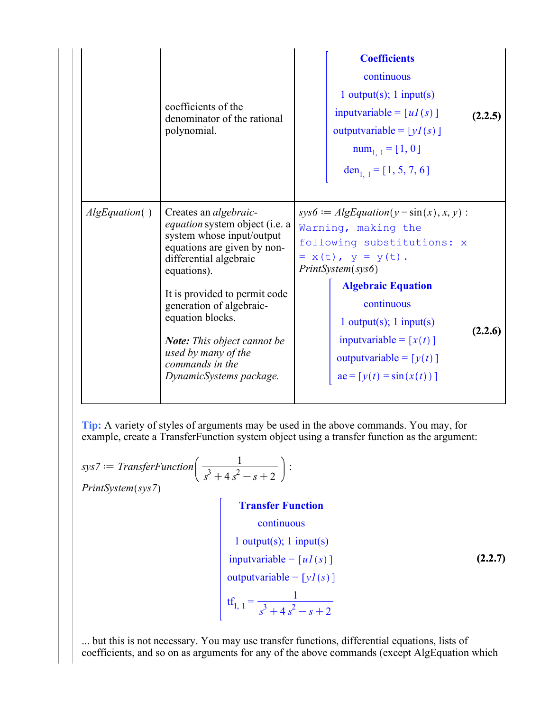|                | coefficients of the<br>denominator of the rational<br>polynomial.                                                                                                                        | <b>Coefficients</b><br>continuous<br>1 output(s); $1$ input(s)<br>inputvariable = $[uI(s)]$<br>(2.2.5)<br>outputvariable = $[yI(s)]$<br>$num_{1, 1} = [1, 0]$<br>den <sub>1, 1</sub> = [1, 5, 7, 6] |
|----------------|------------------------------------------------------------------------------------------------------------------------------------------------------------------------------------------|-----------------------------------------------------------------------------------------------------------------------------------------------------------------------------------------------------|
| AlgEquation( ) | Creates an <i>algebraic-</i><br><i>equation</i> system object (i.e. a<br>system whose input/output<br>equations are given by non-<br>differential algebraic<br>equations).               | $sys6 := AlgEquation(y = sin(x), x, y)$ :<br>Warning, making the<br>following substitutions: x<br>= $x(t)$ , $y = y(t)$ .<br>PrintSystem(sys6)                                                      |
|                | It is provided to permit code<br>generation of algebraic-<br>equation blocks.<br><b>Note:</b> This object cannot be<br>used by many of the<br>commands in the<br>DynamicSystems package. | <b>Algebraic Equation</b><br>continuous<br>$1$ output(s); $1$ input(s)<br>(2.2.6)<br>inputvariable = $[x(t)]$<br>outputvariable = $[y(t)]$<br>$ae = [y(t) = sin(x(t))]$                             |

**Tip:** A variety of styles of arguments may be used in the above commands. You may, for example, create a TransferFunction system object using a transfer function as the argument:

$$
sys7 := TransferFunction\left(\frac{1}{s^3 + 4s^2 - s + 2}\right):
$$
  
PrintSystem(sys7)

#### **Transfer Function**

continuous 1 output(s); 1 input(s)  $inputvariable = [uI(s)]$ outputvariable =  $[yI(s)]$  $\text{tf}_{1, 1} = \frac{1}{3 + 4 + 2}$  $s^3 + 4s^2 - s + 2$ 

**(2.2.7)**

... but this is not necessary. You may use transfer functions, differential equations, lists of coefficients, and so on as arguments for any of the above commands (except AlgEquation which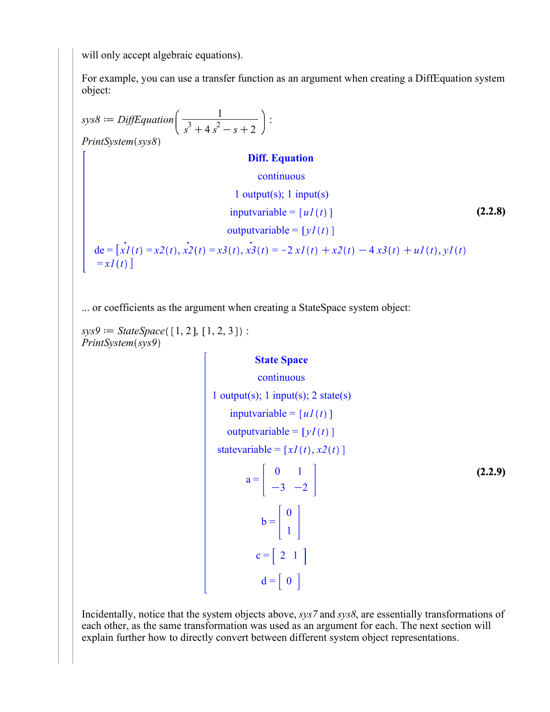will only accept algebraic equations).

For example, you can use a transfer function as an argument when creating a DiffEquation system object:

$$
sys8 := DiffEquation \left(\frac{1}{s^3 + 4s^2 - s + 2}\right):
$$
  
PrintSystem(sys8)  
**Diff. Equation**  
continuous  
1 output(s); 1 input(s)  
inputvariable = [u1(t)]  
(2.2.8)  
output variable = [y1(t)]  
(2.2.8)  

$$
\text{(2.2.8)}
$$
  
output variable = [y1(t)]  

$$
\text{(2.2.9)}
$$
  

$$
\text{(2.2.1)}
$$
  

$$
\text{(2.2.2)}
$$
  

$$
\text{(2.2.3)}
$$
  

$$
\text{(2.2.4)}
$$
  

$$
= xI(t) = x2(t), x2(t) = x3(t), x3(t) = -2xI(t) + x2(t) - 4x3(t) + uI(t), yI(t)
$$

... or coefficients as the argument when creating a StateSpace system object:

 $sys9 := StateSpace([1, 2], [1, 2, 3])$ : *PrintSystem*(sys9)

#### **State Space**

continuous

**(2.2.9)** 1 output(s); 1 input(s); 2 state(s) inputvariable =  $[uI(t)]$ outputvariable =  $[yI(t)]$ statevariable =  $\left[xI(t), x2(t)\right]$  $a =$ 0 1  $-3$   $-2$  $b =$ 0 1  $c = \begin{bmatrix} 2 & 1 \end{bmatrix}$  $d = \begin{bmatrix} 0 \end{bmatrix}$ 

Incidentally, notice that the system objects above, *sys7* and *sys8*, are essentially transformations of each other, as the same transformation was used as an argument for each. The next section will explain further how to directly convert between different system object representations.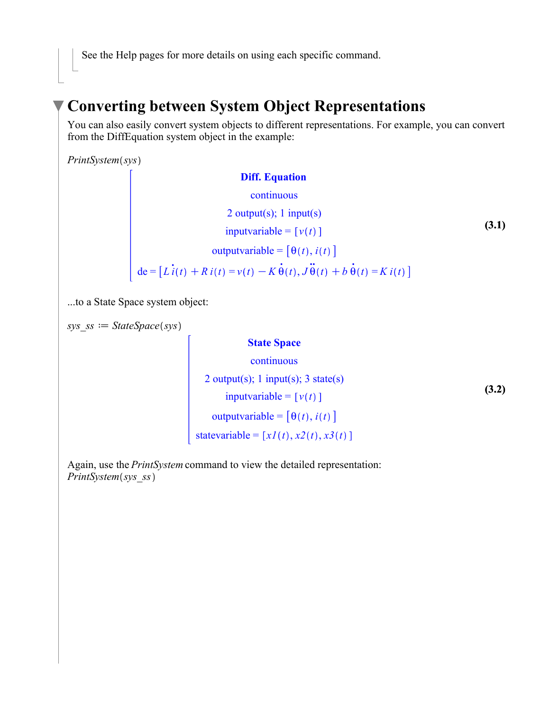See the Help pages for more details on using each specific command.

### **Converting between System Object Representations**

You can also easily convert system objects to different representations. For example, you can convert from the DiffEquation system object in the example:

 $PrintSystem(sys)$ 

| <b>Diff. Equation</b>                                                                             |
|---------------------------------------------------------------------------------------------------|
| continuous                                                                                        |
| 2 output(s); 1 input(s)                                                                           |
| inputvariable = $[v(t)]$                                                                          |
| outputvariable = $[\theta(t), i(t)]$                                                              |
| de = $[Li(t) + Ri(t) = v(t) - K \dot{\theta}(t), J \ddot{\theta}(t) + b \dot{\theta}(t) = Ki(t)]$ |

...to a State Space system object:

 $sys$   $ss \coloneq StateSpace(sys)$ 

#### **State Space**

**(3.2)** continuous 2 output(s); 1 input(s); 3 state(s)  $inputvariable = [v(t)]$ outputvariable =  $\left[\theta(t), i(t)\right]$ statevariable =  $[xI(t), x2(t), x3(t)]$ 

Again, use the *PrintSystem* command to view the detailed representation: *PrintSystem(sys\_ss)*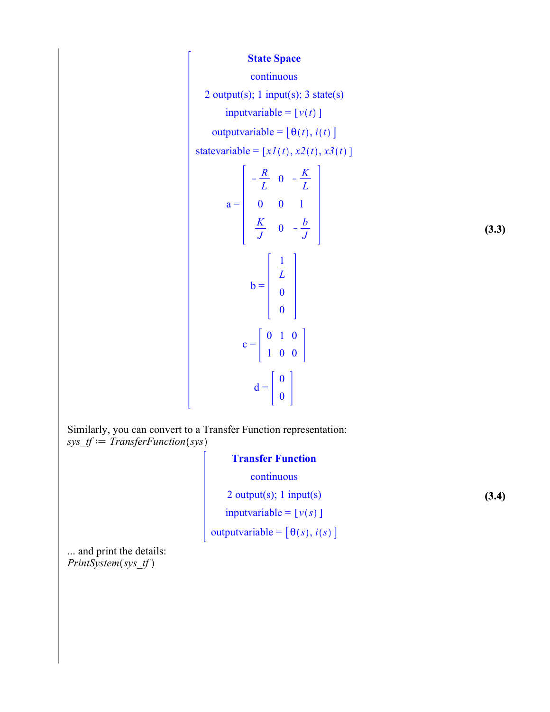#### **State Space**

#### continuous

2 output(s); 1 input(s); 3 state(s)

inputvariable =  $[v(t)]$ 

outputvariable =  $[\theta(t), i(t)]$ 

statevariable =  $[xI(t), x2(t), x3(t)]$ 

$$
a = \begin{bmatrix} -\frac{R}{L} & 0 & -\frac{K}{L} \\ 0 & 0 & 1 \\ \frac{K}{J} & 0 & -\frac{b}{J} \end{bmatrix}
$$
(3.3)  

$$
b = \begin{bmatrix} \frac{1}{L} \\ 0 \\ 0 \\ 0 \end{bmatrix}
$$
  

$$
c = \begin{bmatrix} 0 & 1 & 0 \\ 1 & 0 & 0 \end{bmatrix}
$$
  

$$
d = \begin{bmatrix} 0 \\ 0 \\ 0 \end{bmatrix}
$$

**(3.4)**

Similarly, you can convert to a Transfer Function representation: *sys*  $tf = TransferFunction(sys)$ 

#### **Transfer Function**

continuous

2 output(s); 1 input(s)

 $input variable = [v(s)]$ 

outputvariable =  $[\theta(s), i(s)]$ 

... and print the details: *PrintSystem*(sys\_tf)